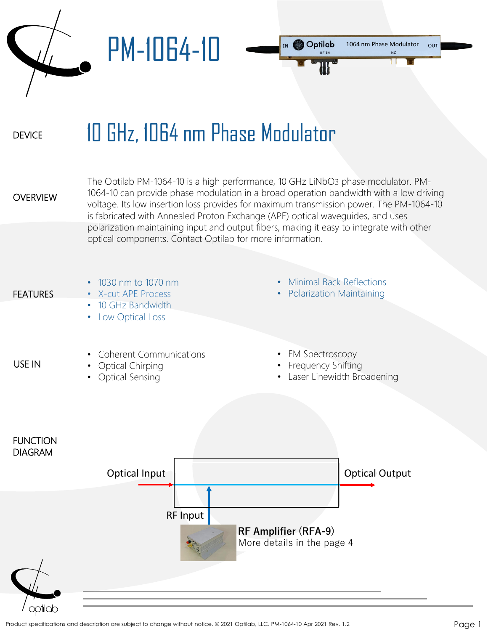PM-1064-10



## **DEVICE** 10 GHz, 1064 nm Phase Modulator

**OVERVIEW** 

The Optilab PM-1064-10 is a high performance, 10 GHz LiNbO3 phase modulator. PM-1064-10 can provide phase modulation in a broad operation bandwidth with a low driving voltage. Its low insertion loss provides for maximum transmission power. The PM-1064-10 is fabricated with Annealed Proton Exchange (APE) optical waveguides, and uses polarization maintaining input and output fibers, making it easy to integrate with other optical components. Contact Optilab for more information.

**FEATURES** 

USE IN

- 1030 nm to 1070 nm
- X-cut APE Process
- 10 GHz Bandwidth
	- Low Optical Loss
- Minimal Back Reflections
- Polarization Maintaining

- Coherent Communications
- Optical Chirping
- Optical Sensing
- FM Spectroscopy
- Frequency Shifting
- Laser Linewidth Broadening

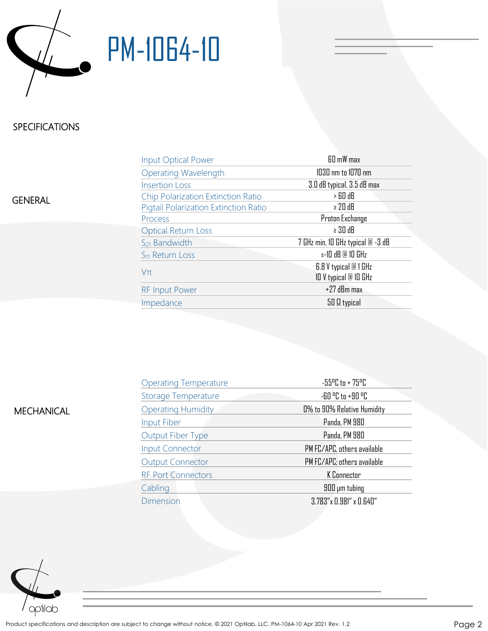

## PM-1064-10

## SPECIFICATIONS

GENERAL

| Input Optical Power                   | 60 mW max                                      |
|---------------------------------------|------------------------------------------------|
| <b>Operating Wavelength</b>           | 1030 nm to 1070 nm                             |
| <b>Insertion Loss</b>                 | 3.0 dB typical, 3.5 dB max                     |
| Chip Polarization Extinction Ratio    | $>$ 60 dB                                      |
| Pigtail Polarization Extinction Ratio | $\geq 20$ dB                                   |
| Process                               | Proton Exchange                                |
| <b>Optical Return Loss</b>            | $\geq 30$ dB                                   |
| $S_{21}$ Bandwidth                    | 7 GHz min, 10 GHz typical @ -3 dB              |
| S <sub>11</sub> Return Loss           | $\le$ -10 dB @ 10 GHz                          |
| $V\pi$                                | 6.8 V typical @ 1 GHz<br>10 V typical @ 10 GHz |
| <b>RF Input Power</b>                 | +27 dBm max                                    |
| Impedance                             | 50 Q typical                                   |

| <b>MECHANICAL</b> |  |
|-------------------|--|
|                   |  |

| <b>Operating Temperature</b> | $-55^{\circ}$ C to + 75 $^{\circ}$ C     |  |
|------------------------------|------------------------------------------|--|
| <b>Storage Temperature</b>   | $-60$ $^{\circ}$ C to $+90$ $^{\circ}$ C |  |
| <b>Operating Humidity</b>    | 0% to 90% Relative Humidity              |  |
| Input Fiber                  | Panda, PM 980                            |  |
| Output Fiber Type            | Panda, PM 980                            |  |
| <b>Input Connector</b>       | PM FC/APC, others available              |  |
| <b>Output Connector</b>      | PM FC/APC; others available              |  |
| <b>RF Port Connectors</b>    | K Connector                              |  |
| Cabling                      | 900 µm tubing                            |  |
| <b>Dimension</b>             | $3.783''$ x 0.981" x 0.640"              |  |
|                              |                                          |  |

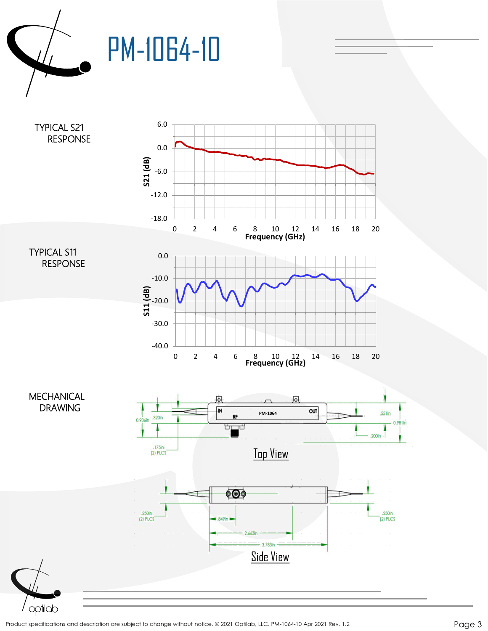

PM-1064-10